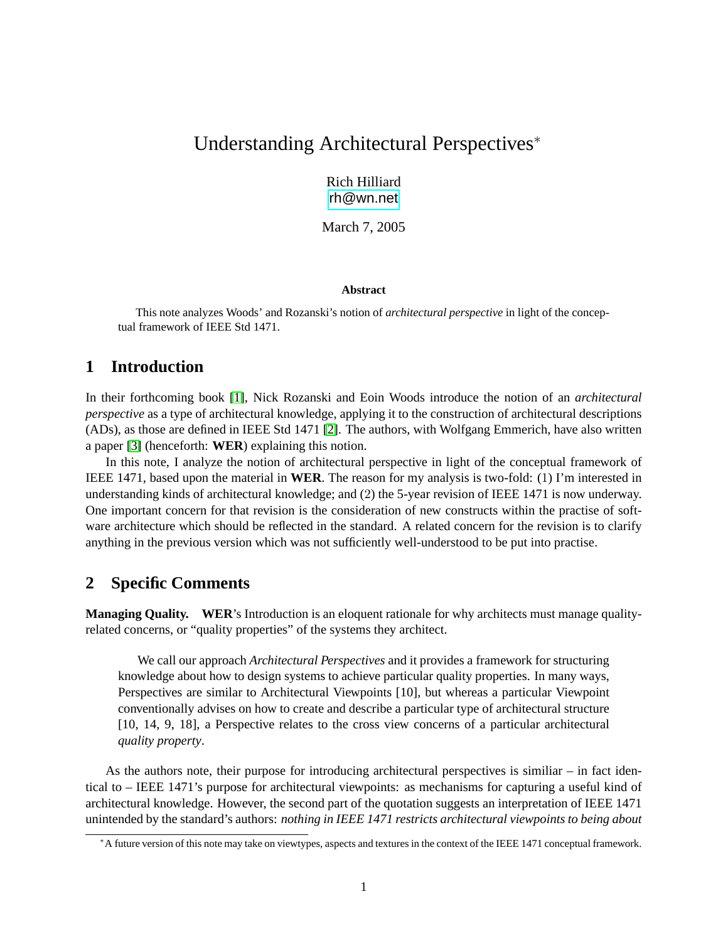# Understanding Architectural Perspectives<sup>∗</sup>

Rich Hilliard [rh@wn.net](mailto:rh@wn.net)

March 7, 2005

#### **Abstract**

This note analyzes Woods' and Rozanski's notion of *architectural perspective* in light of the conceptual framework of IEEE Std 1471.

## **1 Introduction**

In their forthcoming book [\[1\]](#page-5-0), Nick Rozanski and Eoin Woods introduce the notion of an *architectural perspective* as a type of architectural knowledge, applying it to the construction of architectural descriptions (ADs), as those are defined in IEEE Std 1471 [\[2\]](#page-5-1). The authors, with Wolfgang Emmerich, have also written a paper [\[3\]](#page-5-2) (henceforth: **WER**) explaining this notion.

In this note, I analyze the notion of architectural perspective in light of the conceptual framework of IEEE 1471, based upon the material in **WER**. The reason for my analysis is two-fold: (1) I'm interested in understanding kinds of architectural knowledge; and (2) the 5-year revision of IEEE 1471 is now underway. One important concern for that revision is the consideration of new constructs within the practise of software architecture which should be reflected in the standard. A related concern for the revision is to clarify anything in the previous version which was not sufficiently well-understood to be put into practise.

## **2 Specific Comments**

**Managing Quality. WER**'s Introduction is an eloquent rationale for why architects must manage qualityrelated concerns, or "quality properties" of the systems they architect.

We call our approach *Architectural Perspectives* and it provides a framework for structuring knowledge about how to design systems to achieve particular quality properties. In many ways, Perspectives are similar to Architectural Viewpoints [10], but whereas a particular Viewpoint conventionally advises on how to create and describe a particular type of architectural structure [10, 14, 9, 18], a Perspective relates to the cross view concerns of a particular architectural *quality property*.

As the authors note, their purpose for introducing architectural perspectives is similiar – in fact identical to – IEEE 1471's purpose for architectural viewpoints: as mechanisms for capturing a useful kind of architectural knowledge. However, the second part of the quotation suggests an interpretation of IEEE 1471 unintended by the standard's authors: *nothing in IEEE 1471 restricts architectural viewpoints to being about*

<sup>∗</sup>A future version of this note may take on viewtypes, aspects and textures in the context of the IEEE 1471 conceptual framework.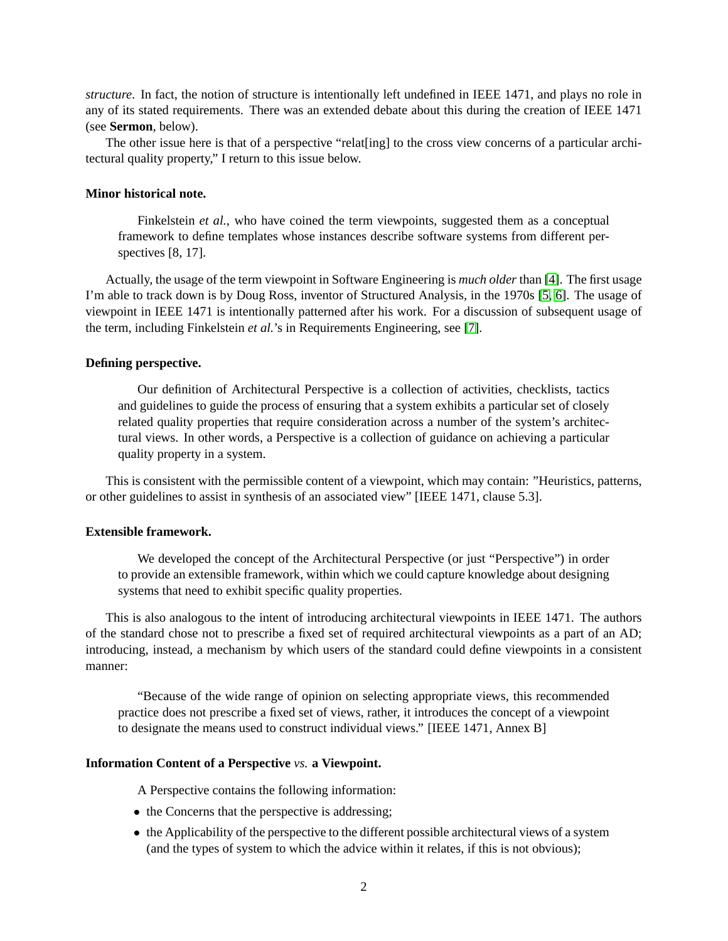*structure*. In fact, the notion of structure is intentionally left undefined in IEEE 1471, and plays no role in any of its stated requirements. There was an extended debate about this during the creation of IEEE 1471 (see **Sermon**, below).

The other issue here is that of a perspective "relatering] to the cross view concerns of a particular architectural quality property," I return to this issue below.

#### **Minor historical note.**

Finkelstein *et al.*, who have coined the term viewpoints, suggested them as a conceptual framework to define templates whose instances describe software systems from different perspectives [8, 17].

Actually, the usage of the term viewpoint in Software Engineering is *much older* than [\[4\]](#page-5-3). The first usage I'm able to track down is by Doug Ross, inventor of Structured Analysis, in the 1970s [\[5,](#page-5-4) [6\]](#page-5-5). The usage of viewpoint in IEEE 1471 is intentionally patterned after his work. For a discussion of subsequent usage of the term, including Finkelstein *et al.*'s in Requirements Engineering, see [\[7\]](#page-5-6).

#### **Defining perspective.**

Our definition of Architectural Perspective is a collection of activities, checklists, tactics and guidelines to guide the process of ensuring that a system exhibits a particular set of closely related quality properties that require consideration across a number of the system's architectural views. In other words, a Perspective is a collection of guidance on achieving a particular quality property in a system.

This is consistent with the permissible content of a viewpoint, which may contain: "Heuristics, patterns, or other guidelines to assist in synthesis of an associated view" [IEEE 1471, clause 5.3].

#### **Extensible framework.**

We developed the concept of the Architectural Perspective (or just "Perspective") in order to provide an extensible framework, within which we could capture knowledge about designing systems that need to exhibit specific quality properties.

This is also analogous to the intent of introducing architectural viewpoints in IEEE 1471. The authors of the standard chose not to prescribe a fixed set of required architectural viewpoints as a part of an AD; introducing, instead, a mechanism by which users of the standard could define viewpoints in a consistent manner:

"Because of the wide range of opinion on selecting appropriate views, this recommended practice does not prescribe a fixed set of views, rather, it introduces the concept of a viewpoint to designate the means used to construct individual views." [IEEE 1471, Annex B]

#### **Information Content of a Perspective** *vs.* **a Viewpoint.**

A Perspective contains the following information:

- the Concerns that the perspective is addressing;
- the Applicability of the perspective to the different possible architectural views of a system (and the types of system to which the advice within it relates, if this is not obvious);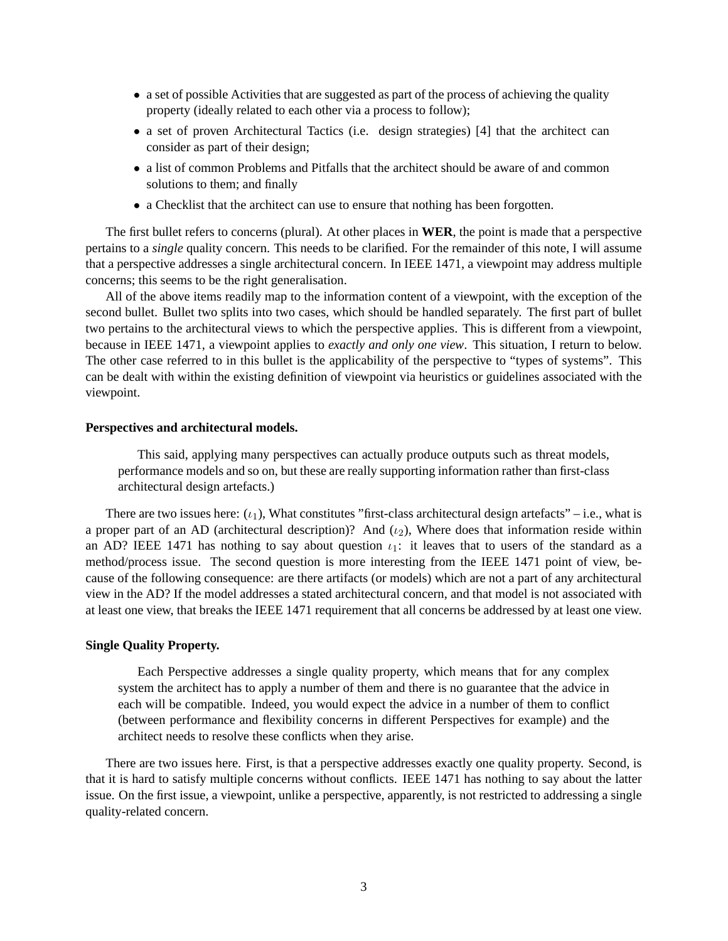- a set of possible Activities that are suggested as part of the process of achieving the quality property (ideally related to each other via a process to follow);
- a set of proven Architectural Tactics (i.e. design strategies) [4] that the architect can consider as part of their design;
- a list of common Problems and Pitfalls that the architect should be aware of and common solutions to them; and finally
- a Checklist that the architect can use to ensure that nothing has been forgotten.

The first bullet refers to concerns (plural). At other places in **WER**, the point is made that a perspective pertains to a *single* quality concern. This needs to be clarified. For the remainder of this note, I will assume that a perspective addresses a single architectural concern. In IEEE 1471, a viewpoint may address multiple concerns; this seems to be the right generalisation.

All of the above items readily map to the information content of a viewpoint, with the exception of the second bullet. Bullet two splits into two cases, which should be handled separately. The first part of bullet two pertains to the architectural views to which the perspective applies. This is different from a viewpoint, because in IEEE 1471, a viewpoint applies to *exactly and only one view*. This situation, I return to below. The other case referred to in this bullet is the applicability of the perspective to "types of systems". This can be dealt with within the existing definition of viewpoint via heuristics or guidelines associated with the viewpoint.

#### **Perspectives and architectural models.**

This said, applying many perspectives can actually produce outputs such as threat models, performance models and so on, but these are really supporting information rather than first-class architectural design artefacts.)

There are two issues here:  $(\iota_1)$ , What constitutes "first-class architectural design artefacts" – i.e., what is a proper part of an AD (architectural description)? And  $(\iota_2)$ , Where does that information reside within an AD? IEEE 1471 has nothing to say about question  $\iota_1$ : it leaves that to users of the standard as a method/process issue. The second question is more interesting from the IEEE 1471 point of view, because of the following consequence: are there artifacts (or models) which are not a part of any architectural view in the AD? If the model addresses a stated architectural concern, and that model is not associated with at least one view, that breaks the IEEE 1471 requirement that all concerns be addressed by at least one view.

#### **Single Quality Property.**

Each Perspective addresses a single quality property, which means that for any complex system the architect has to apply a number of them and there is no guarantee that the advice in each will be compatible. Indeed, you would expect the advice in a number of them to conflict (between performance and flexibility concerns in different Perspectives for example) and the architect needs to resolve these conflicts when they arise.

There are two issues here. First, is that a perspective addresses exactly one quality property. Second, is that it is hard to satisfy multiple concerns without conflicts. IEEE 1471 has nothing to say about the latter issue. On the first issue, a viewpoint, unlike a perspective, apparently, is not restricted to addressing a single quality-related concern.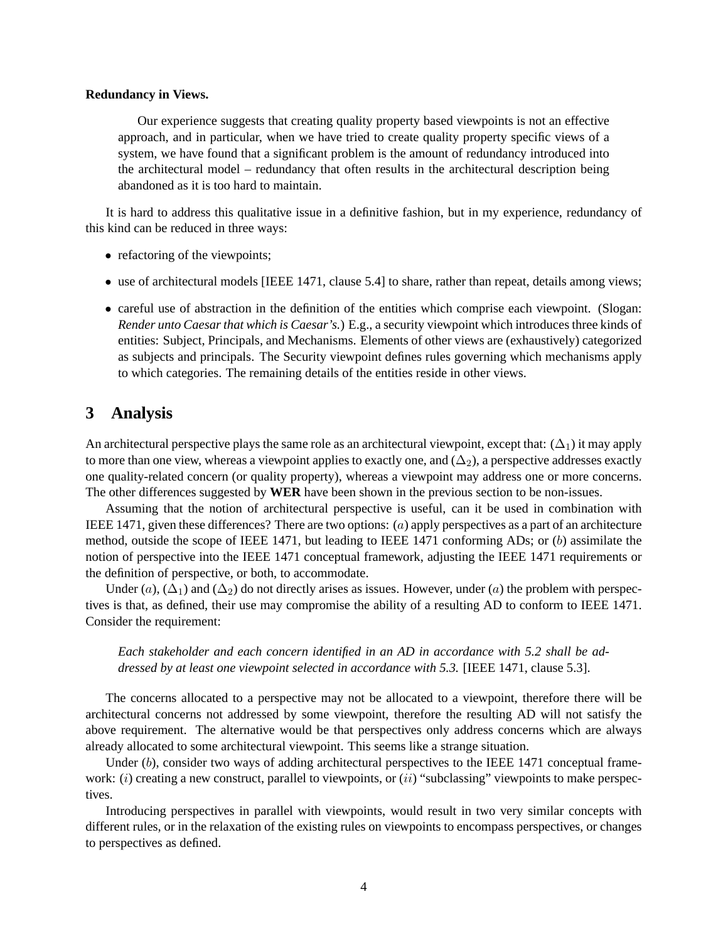#### **Redundancy in Views.**

Our experience suggests that creating quality property based viewpoints is not an effective approach, and in particular, when we have tried to create quality property specific views of a system, we have found that a significant problem is the amount of redundancy introduced into the architectural model – redundancy that often results in the architectural description being abandoned as it is too hard to maintain.

It is hard to address this qualitative issue in a definitive fashion, but in my experience, redundancy of this kind can be reduced in three ways:

- refactoring of the viewpoints;
- use of architectural models [IEEE 1471, clause 5.4] to share, rather than repeat, details among views;
- careful use of abstraction in the definition of the entities which comprise each viewpoint. (Slogan: *Render unto Caesar that which is Caesar's.*) E.g., a security viewpoint which introduces three kinds of entities: Subject, Principals, and Mechanisms. Elements of other views are (exhaustively) categorized as subjects and principals. The Security viewpoint defines rules governing which mechanisms apply to which categories. The remaining details of the entities reside in other views.

## **3 Analysis**

An architectural perspective plays the same role as an architectural viewpoint, except that:  $(\Delta_1)$  it may apply to more than one view, whereas a viewpoint applies to exactly one, and  $(\Delta_2)$ , a perspective addresses exactly one quality-related concern (or quality property), whereas a viewpoint may address one or more concerns. The other differences suggested by **WER** have been shown in the previous section to be non-issues.

Assuming that the notion of architectural perspective is useful, can it be used in combination with IEEE 1471, given these differences? There are two options: (a) apply perspectives as a part of an architecture method, outside the scope of IEEE 1471, but leading to IEEE 1471 conforming ADs; or (b) assimilate the notion of perspective into the IEEE 1471 conceptual framework, adjusting the IEEE 1471 requirements or the definition of perspective, or both, to accommodate.

Under (a),  $(\Delta_1)$  and  $(\Delta_2)$  do not directly arises as issues. However, under (a) the problem with perspectives is that, as defined, their use may compromise the ability of a resulting AD to conform to IEEE 1471. Consider the requirement:

*Each stakeholder and each concern identified in an AD in accordance with 5.2 shall be addressed by at least one viewpoint selected in accordance with 5.3.* [IEEE 1471, clause 5.3].

The concerns allocated to a perspective may not be allocated to a viewpoint, therefore there will be architectural concerns not addressed by some viewpoint, therefore the resulting AD will not satisfy the above requirement. The alternative would be that perspectives only address concerns which are always already allocated to some architectural viewpoint. This seems like a strange situation.

Under  $(b)$ , consider two ways of adding architectural perspectives to the IEEE 1471 conceptual framework:  $(i)$  creating a new construct, parallel to viewpoints, or  $(ii)$  "subclassing" viewpoints to make perspectives.

Introducing perspectives in parallel with viewpoints, would result in two very similar concepts with different rules, or in the relaxation of the existing rules on viewpoints to encompass perspectives, or changes to perspectives as defined.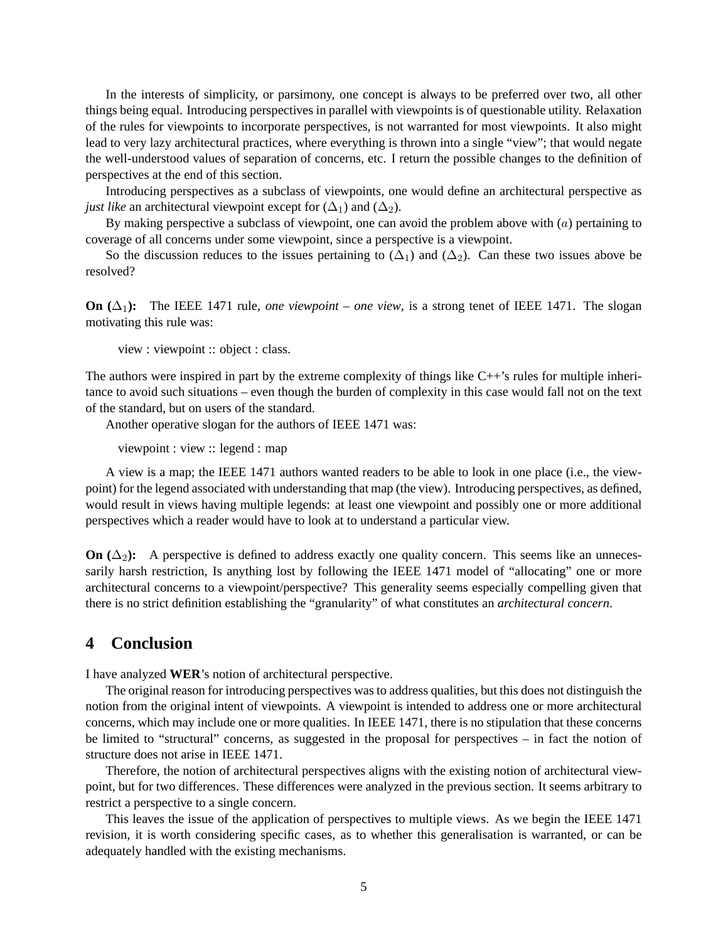In the interests of simplicity, or parsimony, one concept is always to be preferred over two, all other things being equal. Introducing perspectives in parallel with viewpoints is of questionable utility. Relaxation of the rules for viewpoints to incorporate perspectives, is not warranted for most viewpoints. It also might lead to very lazy architectural practices, where everything is thrown into a single "view"; that would negate the well-understood values of separation of concerns, etc. I return the possible changes to the definition of perspectives at the end of this section.

Introducing perspectives as a subclass of viewpoints, one would define an architectural perspective as *just like* an architectural viewpoint except for  $(\Delta_1)$  and  $(\Delta_2)$ .

By making perspective a subclass of viewpoint, one can avoid the problem above with  $(a)$  pertaining to coverage of all concerns under some viewpoint, since a perspective is a viewpoint.

So the discussion reduces to the issues pertaining to  $(\Delta_1)$  and  $(\Delta_2)$ . Can these two issues above be resolved?

**On**  $(\Delta_1)$ : The IEEE 1471 rule, *one viewpoint – one view*, is a strong tenet of IEEE 1471. The slogan motivating this rule was:

view : viewpoint :: object : class.

The authors were inspired in part by the extreme complexity of things like C++'s rules for multiple inheritance to avoid such situations – even though the burden of complexity in this case would fall not on the text of the standard, but on users of the standard.

Another operative slogan for the authors of IEEE 1471 was:

viewpoint : view :: legend : map

A view is a map; the IEEE 1471 authors wanted readers to be able to look in one place (i.e., the viewpoint) for the legend associated with understanding that map (the view). Introducing perspectives, as defined, would result in views having multiple legends: at least one viewpoint and possibly one or more additional perspectives which a reader would have to look at to understand a particular view.

**On**  $(\Delta_2)$ : A perspective is defined to address exactly one quality concern. This seems like an unnecessarily harsh restriction, Is anything lost by following the IEEE 1471 model of "allocating" one or more architectural concerns to a viewpoint/perspective? This generality seems especially compelling given that there is no strict definition establishing the "granularity" of what constitutes an *architectural concern*.

### **4 Conclusion**

I have analyzed **WER**'s notion of architectural perspective.

The original reason for introducing perspectives was to address qualities, but this does not distinguish the notion from the original intent of viewpoints. A viewpoint is intended to address one or more architectural concerns, which may include one or more qualities. In IEEE 1471, there is no stipulation that these concerns be limited to "structural" concerns, as suggested in the proposal for perspectives – in fact the notion of structure does not arise in IEEE 1471.

Therefore, the notion of architectural perspectives aligns with the existing notion of architectural viewpoint, but for two differences. These differences were analyzed in the previous section. It seems arbitrary to restrict a perspective to a single concern.

This leaves the issue of the application of perspectives to multiple views. As we begin the IEEE 1471 revision, it is worth considering specific cases, as to whether this generalisation is warranted, or can be adequately handled with the existing mechanisms.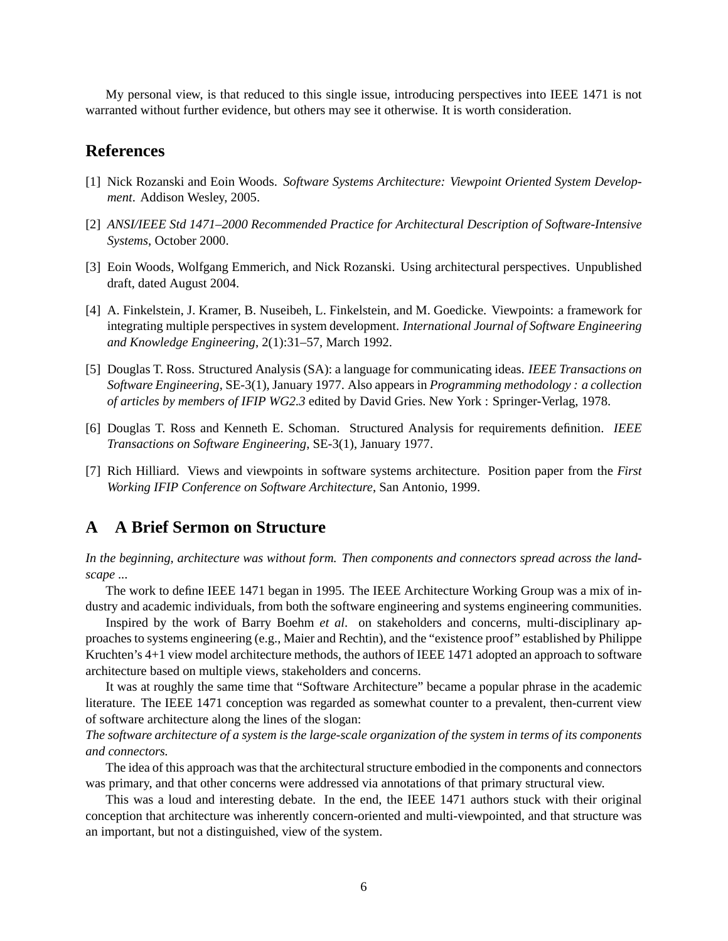My personal view, is that reduced to this single issue, introducing perspectives into IEEE 1471 is not warranted without further evidence, but others may see it otherwise. It is worth consideration.

## **References**

- <span id="page-5-0"></span>[1] Nick Rozanski and Eoin Woods. *Software Systems Architecture: Viewpoint Oriented System Development*. Addison Wesley, 2005.
- <span id="page-5-1"></span>[2] *ANSI/IEEE Std 1471–2000 Recommended Practice for Architectural Description of Software-Intensive Systems*, October 2000.
- <span id="page-5-2"></span>[3] Eoin Woods, Wolfgang Emmerich, and Nick Rozanski. Using architectural perspectives. Unpublished draft, dated August 2004.
- <span id="page-5-3"></span>[4] A. Finkelstein, J. Kramer, B. Nuseibeh, L. Finkelstein, and M. Goedicke. Viewpoints: a framework for integrating multiple perspectives in system development. *International Journal of Software Engineering and Knowledge Engineering*, 2(1):31–57, March 1992.
- <span id="page-5-4"></span>[5] Douglas T. Ross. Structured Analysis (SA): a language for communicating ideas. *IEEE Transactions on Software Engineering*, SE-3(1), January 1977. Also appears in *Programming methodology : a collection of articles by members of IFIP WG2.3* edited by David Gries. New York : Springer-Verlag, 1978.
- <span id="page-5-5"></span>[6] Douglas T. Ross and Kenneth E. Schoman. Structured Analysis for requirements definition. *IEEE Transactions on Software Engineering*, SE-3(1), January 1977.
- <span id="page-5-6"></span>[7] Rich Hilliard. Views and viewpoints in software systems architecture. Position paper from the *First Working IFIP Conference on Software Architecture*, San Antonio, 1999.

### **A A Brief Sermon on Structure**

*In the beginning, architecture was without form. Then components and connectors spread across the landscape ...*

The work to define IEEE 1471 began in 1995. The IEEE Architecture Working Group was a mix of industry and academic individuals, from both the software engineering and systems engineering communities.

Inspired by the work of Barry Boehm *et al*. on stakeholders and concerns, multi-disciplinary approaches to systems engineering (e.g., Maier and Rechtin), and the "existence proof" established by Philippe Kruchten's 4+1 view model architecture methods, the authors of IEEE 1471 adopted an approach to software architecture based on multiple views, stakeholders and concerns.

It was at roughly the same time that "Software Architecture" became a popular phrase in the academic literature. The IEEE 1471 conception was regarded as somewhat counter to a prevalent, then-current view of software architecture along the lines of the slogan:

*The software architecture of a system is the large-scale organization of the system in terms of its components and connectors.*

The idea of this approach was that the architectural structure embodied in the components and connectors was primary, and that other concerns were addressed via annotations of that primary structural view.

This was a loud and interesting debate. In the end, the IEEE 1471 authors stuck with their original conception that architecture was inherently concern-oriented and multi-viewpointed, and that structure was an important, but not a distinguished, view of the system.